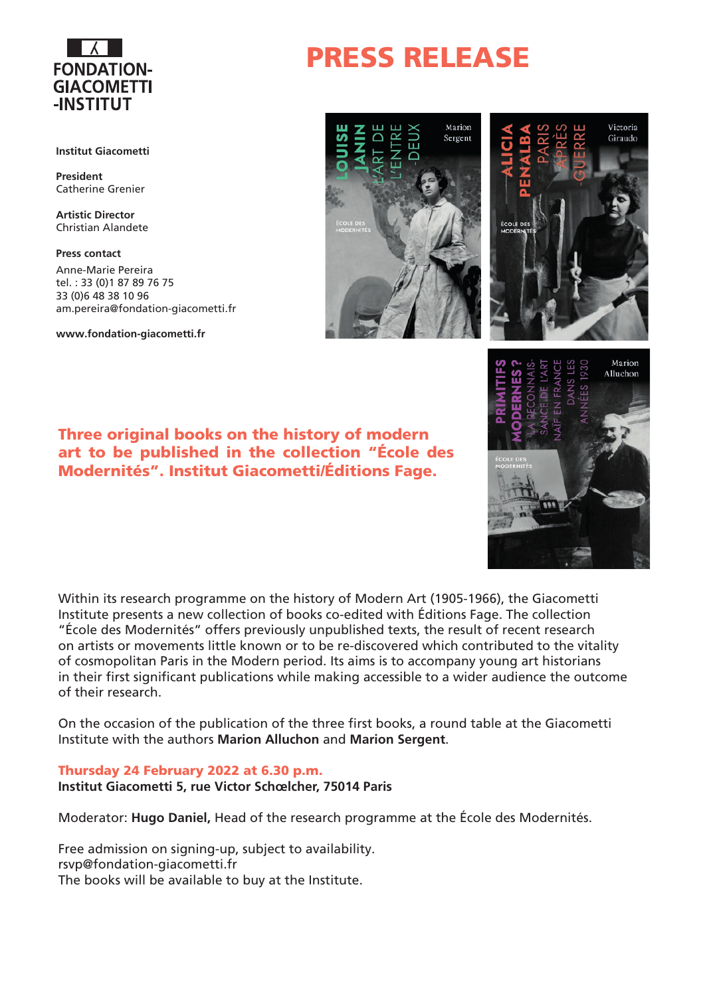

#### **Institut Giacometti**

**President** Catherine Grenier

**Artistic Director** Christian Alandete

**Press contact** Anne-Marie Pereira tel. : 33 (0)1 87 89 76 75 33 (0)6 48 38 10 96 am.pereira@fondation-giacometti.fr

**www.fondation-giacometti.fr**

### Three original books on the history of modern art to be published in the collection "École des Modernités". Institut Giacometti/Éditions Fage.

Within its research programme on the history of Modern Art (1905-1966), the Giacometti Institute presents a new collection of books co-edited with Éditions Fage. The collection "École des Modernités" offers previously unpublished texts, the result of recent research on artists or movements little known or to be re-discovered which contributed to the vitality of cosmopolitan Paris in the Modern period. Its aims is to accompany young art historians in their first significant publications while making accessible to a wider audience the outcome of their research.

On the occasion of the publication of the three first books, a round table at the Giacometti Institute with the authors **Marion Alluchon** and **Marion Sergent**.

#### Thursday 24 February 2022 at 6.30 p.m.

**Institut Giacometti 5, rue Victor Schœlcher, 75014 Paris**

Moderator: **Hugo Daniel,** Head of the research programme at the École des Modernités.

Free admission on signing-up, subject to availability. rsvp@fondation-giacometti.fr The books will be available to buy at the Institute.

## PRESS RELEASE





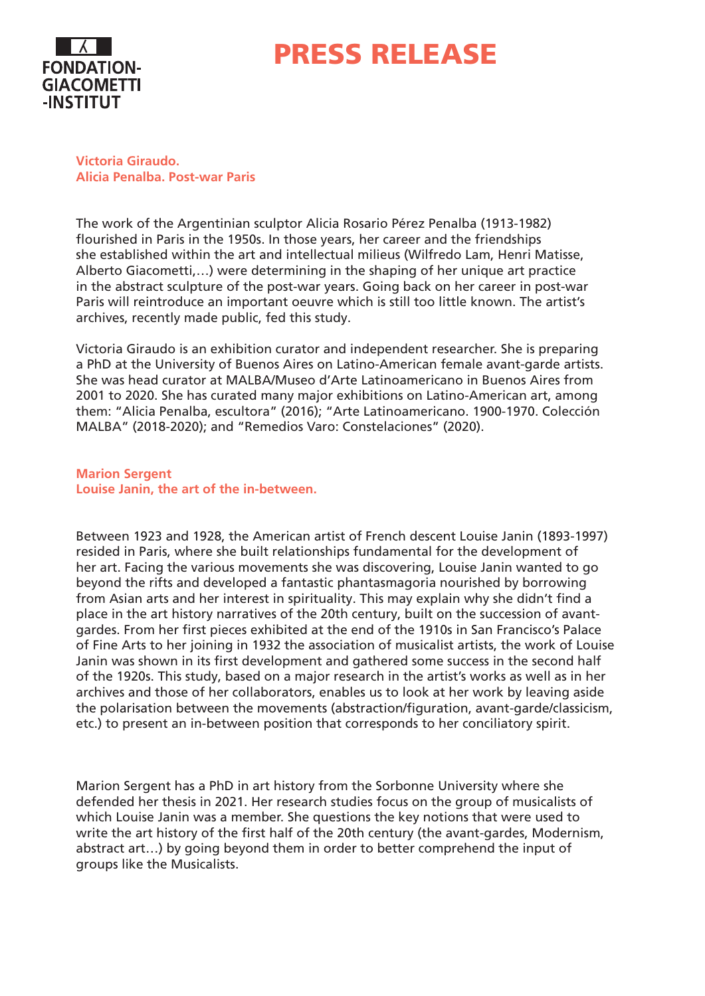

### PRESS RELEASE

**Victoria Giraudo. Alicia Penalba. Post-war Paris**

The work of the Argentinian sculptor Alicia Rosario Pérez Penalba (1913-1982) flourished in Paris in the 1950s. In those years, her career and the friendships she established within the art and intellectual milieus (Wilfredo Lam, Henri Matisse, Alberto Giacometti,…) were determining in the shaping of her unique art practice in the abstract sculpture of the post-war years. Going back on her career in post-war Paris will reintroduce an important oeuvre which is still too little known. The artist's archives, recently made public, fed this study.

Victoria Giraudo is an exhibition curator and independent researcher. She is preparing a PhD at the University of Buenos Aires on Latino-American female avant-garde artists. She was head curator at MALBA/Museo d'Arte Latinoamericano in Buenos Aires from 2001 to 2020. She has curated many major exhibitions on Latino-American art, among them: "Alicia Penalba, escultora" (2016); "Arte Latinoamericano. 1900-1970. Colección MALBA" (2018-2020); and "Remedios Varo: Constelaciones" (2020).

**Marion Sergent Louise Janin, the art of the in-between.** 

Between 1923 and 1928, the American artist of French descent Louise Janin (1893-1997) resided in Paris, where she built relationships fundamental for the development of her art. Facing the various movements she was discovering, Louise Janin wanted to go beyond the rifts and developed a fantastic phantasmagoria nourished by borrowing from Asian arts and her interest in spirituality. This may explain why she didn't find a place in the art history narratives of the 20th century, built on the succession of avantgardes. From her first pieces exhibited at the end of the 1910s in San Francisco's Palace of Fine Arts to her joining in 1932 the association of musicalist artists, the work of Louise Janin was shown in its first development and gathered some success in the second half of the 1920s. This study, based on a major research in the artist's works as well as in her archives and those of her collaborators, enables us to look at her work by leaving aside the polarisation between the movements (abstraction/figuration, avant-garde/classicism, etc.) to present an in-between position that corresponds to her conciliatory spirit.

Marion Sergent has a PhD in art history from the Sorbonne University where she defended her thesis in 2021. Her research studies focus on the group of musicalists of which Louise Janin was a member. She questions the key notions that were used to write the art history of the first half of the 20th century (the avant-gardes, Modernism, abstract art…) by going beyond them in order to better comprehend the input of groups like the Musicalists.